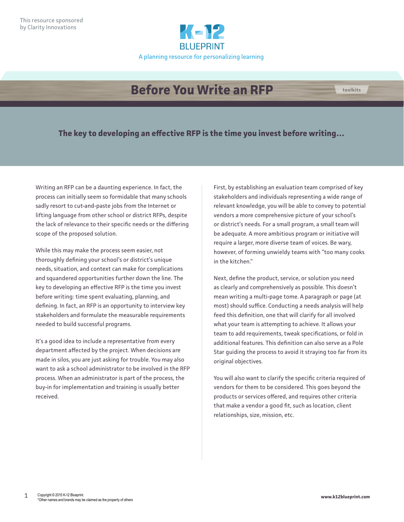

## **Before You Write an RFP toolkits**

**The key to developing an effective RFP is the time you invest before writing…**

Writing an RFP can be a daunting experience. In fact, the process can initially seem so formidable that many schools sadly resort to cut-and-paste jobs from the Internet or lifting language from other school or district RFPs, despite the lack of relevance to their specific needs or the differing scope of the proposed solution.

While this may make the process seem easier, not thoroughly defining your school's or district's unique needs, situation, and context can make for complications and squandered opportunities further down the line. The key to developing an effective RFP is the time you invest before writing: time spent evaluating, planning, and defining. In fact, an RFP is an opportunity to interview key stakeholders and formulate the measurable requirements needed to build successful programs.

It's a good idea to include a representative from every department affected by the project. When decisions are made in silos, you are just asking for trouble. You may also want to ask a school administrator to be involved in the RFP process. When an administrator is part of the process, the buy-in for implementation and training is usually better received.

First, by establishing an evaluation team comprised of key stakeholders and individuals representing a wide range of relevant knowledge, you will be able to convey to potential vendors a more comprehensive picture of your school's or district's needs. For a small program, a small team will be adequate. A more ambitious program or initiative will require a larger, more diverse team of voices. Be wary, however, of forming unwieldy teams with "too many cooks in the kitchen."

Next, define the product, service, or solution you need as clearly and comprehensively as possible. This doesn't mean writing a multi-page tome. A paragraph or page (at most) should suffice. Conducting a needs analysis will help feed this definition, one that will clarify for all involved what your team is attempting to achieve. It allows your team to add requirements, tweak specifications, or fold in additional features. This definition can also serve as a Pole Star guiding the process to avoid it straying too far from its original objectives.

You will also want to clarify the specific criteria required of vendors for them to be considered. This goes beyond the products or services offered, and requires other criteria that make a vendor a good fit, such as location, client relationships, size, mission, etc.